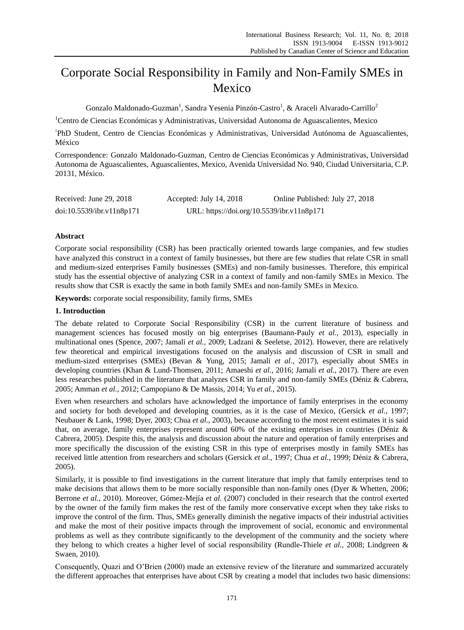# Corporate Social Responsibility in Family and Non-Family SMEs in Mexico

Gonzalo Maldonado-Guzman<sup>1</sup>, Sandra Yesenia Pinz ón-Castro<sup>1</sup>, & Araceli Alvarado-Carrillo<sup>2</sup>

<sup>1</sup>Centro de Ciencias Económicas y Administrativas, Universidad Autonoma de Aguascalientes, Mexico

2 PhD Student, Centro de Ciencias Económicas y Administrativas, Universidad Autónoma de Aguascalientes, México

Correspondence: Gonzalo Maldonado-Guzman, Centro de Ciencias Económicas y Administrativas, Universidad Autonoma de Aguascalientes, Aguascalientes, Mexico, Avenida Universidad No. 940, Ciudad Universitaria, C.P. 20131, México.

| Received: June 29, 2018   | Accepted: July 14, 2018                    | Online Published: July 27, 2018 |
|---------------------------|--------------------------------------------|---------------------------------|
| doi:10.5539/ibr.v11n8p171 | URL: https://doi.org/10.5539/ibr.v11n8p171 |                                 |

## **Abstract**

Corporate social responsibility (CSR) has been practically oriented towards large companies, and few studies have analyzed this construct in a context of family businesses, but there are few studies that relate CSR in small and medium-sized enterprises Family businesses (SMEs) and non-family businesses. Therefore, this empirical study has the essential objective of analyzing CSR in a context of family and non-family SMEs in Mexico. The results show that CSR is exactly the same in both family SMEs and non-family SMEs in Mexico.

**Keywords:** corporate social responsibility, family firms, SMEs

## **1. Introduction**

The debate related to Corporate Social Responsibility (CSR) in the current literature of business and management sciences has focused mostly on big enterprises (Baumann-Pauly *et al.*, 2013), especially in multinational ones (Spence, 2007; Jamali *et al.*, 2009; Ladzani & Seeletse, 2012). However, there are relatively few theoretical and empirical investigations focused on the analysis and discussion of CSR in small and medium-sized enterprises (SMEs) (Bevan & Yung, 2015; Jamali *et al.*, 2017), especially about SMEs in developing countries (Khan & Lund-Thomsen, 2011; Amaeshi *et al.*, 2016; Jamali *et al.*, 2017). There are even less researches published in the literature that analyzes CSR in family and non-family SMEs (Déniz & Cabrera, 2005; Amman *et al.*, 2012; Campopiano & De Massis, 2014; Yu *et al.*, 2015).

Even when researchers and scholars have acknowledged the importance of family enterprises in the economy and society for both developed and developing countries, as it is the case of Mexico, (Gersick *et al.*, 1997; Neubauer & Lank, 1998; Dyer, 2003; Chua *et al.*, 2003), because according to the most recent estimates it is said that, on average, family enterprises represent around 60% of the existing enterprises in countries (Déniz  $\&$ Cabrera, 2005). Despite this, the analysis and discussion about the nature and operation of family enterprises and more specifically the discussion of the existing CSR in this type of enterprises mostly in family SMEs has received little attention from researchers and scholars (Gersick *et al.*, 1997; Chua *et al.*, 1999; Déniz & Cabrera, 2005).

Similarly, it is possible to find investigations in the current literature that imply that family enterprises tend to make decisions that allows them to be more socially responsible than non-family ones (Dyer & Whetten, 2006; Berrone *et al.*, 2010). Moreover, Gómez-Mejía *et al.* (2007) concluded in their research that the control exerted by the owner of the family firm makes the rest of the family more conservative except when they take risks to improve the control of the firm. Thus, SMEs generally diminish the negative impacts of their industrial activities and make the most of their positive impacts through the improvement of social, economic and environmental problems as well as they contribute significantly to the development of the community and the society where they belong to which creates a higher level of social responsibility (Rundle-Thiele *et al.*, 2008; Lindgreen & Swaen, 2010).

Consequently, Quazi and O'Brien (2000) made an extensive review of the literature and summarized accurately the different approaches that enterprises have about CSR by creating a model that includes two basic dimensions: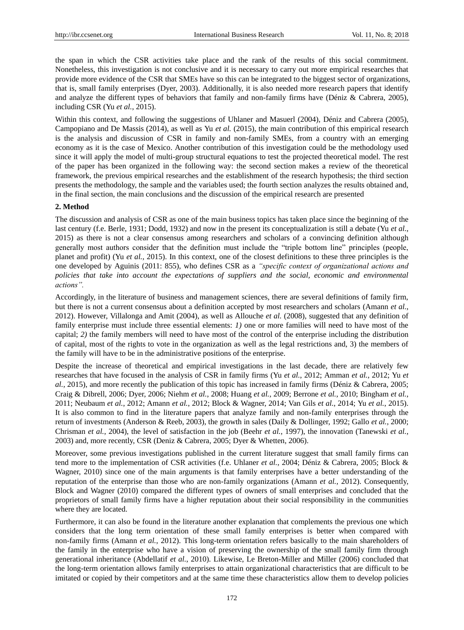the span in which the CSR activities take place and the rank of the results of this social commitment. Nonetheless, this investigation is not conclusive and it is necessary to carry out more empirical researches that provide more evidence of the CSR that SMEs have so this can be integrated to the biggest sector of organizations, that is, small family enterprises (Dyer, 2003). Additionally, it is also needed more research papers that identify and analyze the different types of behaviors that family and non-family firms have (Déniz & Cabrera, 2005), including CSR (Yu *et al.*, 2015).

Within this context, and following the suggestions of Uhlaner and Masuerl (2004), Déniz and Cabrera (2005), Campopiano and De Massis (2014), as well as Yu *et al.* (2015), the main contribution of this empirical research is the analysis and discussion of CSR in family and non-family SMEs, from a country with an emerging economy as it is the case of Mexico. Another contribution of this investigation could be the methodology used since it will apply the model of multi-group structural equations to test the projected theoretical model. The rest of the paper has been organized in the following way: the second section makes a review of the theoretical framework, the previous empirical researches and the establishment of the research hypothesis; the third section presents the methodology, the sample and the variables used; the fourth section analyzes the results obtained and, in the final section, the main conclusions and the discussion of the empirical research are presented

#### **2. Method**

The discussion and analysis of CSR as one of the main business topics has taken place since the beginning of the last century (f.e. Berle, 1931; Dodd, 1932) and now in the present its conceptualization is still a debate (Yu *et al.*, 2015) as there is not a clear consensus among researchers and scholars of a convincing definition although generally most authors consider that the definition must include the "triple bottom line" principles (people, planet and profit) (Yu *et al.*, 2015). In this context, one of the closest definitions to these three principles is the one developed by Aguinis (2011: 855), who defines CSR as a *"specific context of organizational actions and policies that take into account the expectations of suppliers and the social, economic and environmental actions".*

Accordingly, in the literature of business and management sciences, there are several definitions of family firm, but there is not a current consensus about a definition accepted by most researchers and scholars (Amann *et al.*, 2012). However, Villalonga and Amit (2004), as well as Allouche *et al.* (2008), suggested that any definition of family enterprise must include three essential elements: *1)* one or more families will need to have most of the capital; *2)* the family members will need to have most of the control of the enterprise including the distribution of capital, most of the rights to vote in the organization as well as the legal restrictions and, 3) the members of the family will have to be in the administrative positions of the enterprise.

Despite the increase of theoretical and empirical investigations in the last decade, there are relatively few researches that have focused in the analysis of CSR in family firms (Yu *et al.*, 2012; Amman *et al.*, 2012; Yu *et al.*, 2015), and more recently the publication of this topic has increased in family firms (Déniz & Cabrera, 2005; Craig & Dibrell, 2006; Dyer, 2006; Niehm *et al.*, 2008; Huang *et al.*, 2009; Berrone *et al.*, 2010; Bingham *et al.*, 2011; Neubaum *et al.*, 2012; Amann *et al.*, 2012; Block & Wagner, 2014; Van Gils *et al.*, 2014; Yu *et al.*, 2015). It is also common to find in the literature papers that analyze family and non-family enterprises through the return of investments (Anderson & Reeb, 2003), the growth in sales (Daily & Dollinger, 1992; Gallo *et al.*, 2000; Chrisman *et al.*, 2004), the level of satisfaction in the job (Beehr *et al.*, 1997), the innovation (Tanewski *et al.*, 2003) and, more recently, CSR (Deniz & Cabrera, 2005; Dyer & Whetten, 2006).

Moreover, some previous investigations published in the current literature suggest that small family firms can tend more to the implementation of CSR activities (f.e. Uhlaner *et al.*, 2004; Déniz & Cabrera, 2005; Block & Wagner, 2010) since one of the main arguments is that family enterprises have a better understanding of the reputation of the enterprise than those who are non-family organizations (Amann *et al.*, 2012). Consequently, Block and Wagner (2010) compared the different types of owners of small enterprises and concluded that the proprietors of small family firms have a higher reputation about their social responsibility in the communities where they are located.

Furthermore, it can also be found in the literature another explanation that complements the previous one which considers that the long term orientation of these small family enterprises is better when compared with non-family firms (Amann *et al.*, 2012). This long-term orientation refers basically to the main shareholders of the family in the enterprise who have a vision of preserving the ownership of the small family firm through generational inheritance (Abdellatif *et al.*, 2010). Likewise, Le Breton-Miller and Miller (2006) concluded that the long-term orientation allows family enterprises to attain organizational characteristics that are difficult to be imitated or copied by their competitors and at the same time these characteristics allow them to develop policies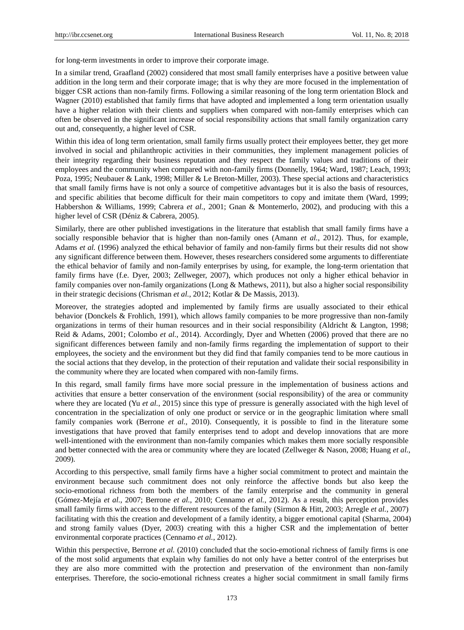for long-term investments in order to improve their corporate image.

In a similar trend, Graafland (2002) considered that most small family enterprises have a positive between value addition in the long term and their corporate image; that is why they are more focused in the implementation of bigger CSR actions than non-family firms. Following a similar reasoning of the long term orientation Block and Wagner (2010) established that family firms that have adopted and implemented a long term orientation usually have a higher relation with their clients and suppliers when compared with non-family enterprises which can often be observed in the significant increase of social responsibility actions that small family organization carry out and, consequently, a higher level of CSR.

Within this idea of long term orientation, small family firms usually protect their employees better, they get more involved in social and philanthropic activities in their communities, they implement management policies of their integrity regarding their business reputation and they respect the family values and traditions of their employees and the community when compared with non-family firms (Donnelly, 1964; Ward, 1987; Leach, 1993; Poza, 1995; Neubauer & Lank, 1998; Miller & Le Breton-Miller, 2003). These special actions and characteristics that small family firms have is not only a source of competitive advantages but it is also the basis of resources, and specific abilities that become difficult for their main competitors to copy and imitate them (Ward, 1999; Habbershon & Williams, 1999; Cabrera *et al.*, 2001; Gnan & Montemerlo, 2002), and producing with this a higher level of CSR (Déniz & Cabrera, 2005).

Similarly, there are other published investigations in the literature that establish that small family firms have a socially responsible behavior that is higher than non-family ones (Amann *et al.*, 2012). Thus, for example, Adams *et al.* (1996) analyzed the ethical behavior of family and non-family firms but their results did not show any significant difference between them. However, theses researchers considered some arguments to differentiate the ethical behavior of family and non-family enterprises by using, for example, the long-term orientation that family firms have (f.e. Dyer, 2003; Zellweger, 2007), which produces not only a higher ethical behavior in family companies over non-family organizations (Long & Mathews, 2011), but also a higher social responsibility in their strategic decisions (Chrisman *et al.*, 2012; Kotlar & De Massis, 2013).

Moreover, the strategies adopted and implemented by family firms are usually associated to their ethical behavior (Donckels & Frohlich, 1991), which allows family companies to be more progressive than non-family organizations in terms of their human resources and in their social responsibility (Aldricht & Langton, 1998; Reid & Adams, 2001; Colombo *et al.*, 2014). Accordingly, Dyer and Whetten (2006) proved that there are no significant differences between family and non-family firms regarding the implementation of support to their employees, the society and the environment but they did find that family companies tend to be more cautious in the social actions that they develop, in the protection of their reputation and validate their social responsibility in the community where they are located when compared with non-family firms.

In this regard, small family firms have more social pressure in the implementation of business actions and activities that ensure a better conservation of the environment (social responsibility) of the area or community where they are located (Yu *et al.*, 2015) since this type of pressure is generally associated with the high level of concentration in the specialization of only one product or service or in the geographic limitation where small family companies work (Berrone *et al.*, 2010). Consequently, it is possible to find in the literature some investigations that have proved that family enterprises tend to adopt and develop innovations that are more well-intentioned with the environment than non-family companies which makes them more socially responsible and better connected with the area or community where they are located (Zellweger & Nason, 2008; Huang *et al.*, 2009).

According to this perspective, small family firms have a higher social commitment to protect and maintain the environment because such commitment does not only reinforce the affective bonds but also keep the socio-emotional richness from both the members of the family enterprise and the community in general (Gómez-Mejía *et al.*, 2007; Berrone *et al.*, 2010; Cennamo *et al.*, 2012). As a result, this perception provides small family firms with access to the different resources of the family (Sirmon & Hitt, 2003; Arregle *et al.*, 2007) facilitating with this the creation and development of a family identity, a bigger emotional capital (Sharma, 2004) and strong family values (Dyer, 2003) creating with this a higher CSR and the implementation of better environmental corporate practices (Cennamo *et al.*, 2012).

Within this perspective, Berrone *et al.* (2010) concluded that the socio-emotional richness of family firms is one of the most solid arguments that explain why families do not only have a better control of the enterprises but they are also more committed with the protection and preservation of the environment than non-family enterprises. Therefore, the socio-emotional richness creates a higher social commitment in small family firms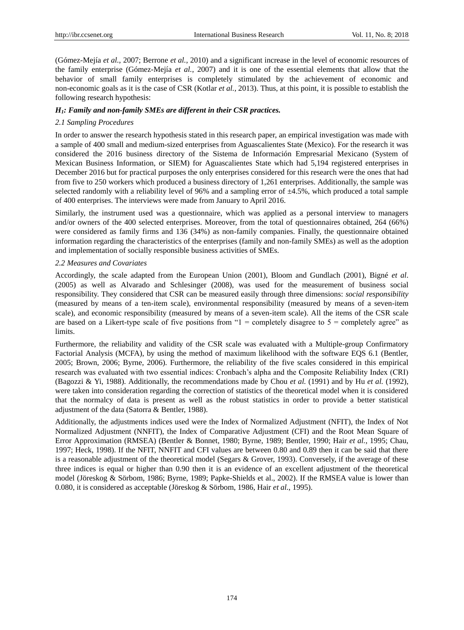(Gómez-Mejía *et al.*, 2007; Berrone *et al.*, 2010) and a significant increase in the level of economic resources of the family enterprise (Gómez-Mejía *et al.*, 2007) and it is one of the essential elements that allow that the behavior of small family enterprises is completely stimulated by the achievement of economic and non-economic goals as it is the case of CSR (Kotlar *et al.*, 2013). Thus, at this point, it is possible to establish the following research hypothesis:

### *H1: Family and non-family SMEs are different in their CSR practices.*

#### *2.1 Sampling Procedures*

In order to answer the research hypothesis stated in this research paper, an empirical investigation was made with a sample of 400 small and medium-sized enterprises from Aguascalientes State (Mexico). For the research it was considered the 2016 business directory of the Sistema de Información Empresarial Mexicano (System of Mexican Business Information, or SIEM) for Aguascalientes State which had 5,194 registered enterprises in December 2016 but for practical purposes the only enterprises considered for this research were the ones that had from five to 250 workers which produced a business directory of 1,261 enterprises. Additionally, the sample was selected randomly with a reliability level of 96% and a sampling error of  $\pm 4.5$ %, which produced a total sample of 400 enterprises. The interviews were made from January to April 2016.

Similarly, the instrument used was a questionnaire, which was applied as a personal interview to managers and/or owners of the 400 selected enterprises. Moreover, from the total of questionnaires obtained, 264 (66%) were considered as family firms and 136 (34%) as non-family companies. Finally, the questionnaire obtained information regarding the characteristics of the enterprises (family and non-family SMEs) as well as the adoption and implementation of socially responsible business activities of SMEs.

#### *2.2 Measures and Covariates*

Accordingly, the scale adapted from the European Union (2001), Bloom and Gundlach (2001), Bigné *et al*. (2005) as well as Alvarado and Schlesinger (2008), was used for the measurement of business social responsibility. They considered that CSR can be measured easily through three dimensions: *social responsibility* (measured by means of a ten-item scale), environmental responsibility (measured by means of a seven-item scale), and economic responsibility (measured by means of a seven-item scale). All the items of the CSR scale are based on a Likert-type scale of five positions from "1 = completely disagree to  $5$  = completely agree" as limits.

Furthermore, the reliability and validity of the CSR scale was evaluated with a Multiple-group Confirmatory Factorial Analysis (MCFA), by using the method of maximum likelihood with the software EQS 6.1 (Bentler, 2005; Brown, 2006; Byrne, 2006). Furthermore, the reliability of the five scales considered in this empirical research was evaluated with two essential indices: Cronbach's alpha and the Composite Reliability Index (CRI) (Bagozzi & Yi, 1988). Additionally, the recommendations made by Chou *et al.* (1991) and by Hu *et al.* (1992), were taken into consideration regarding the correction of statistics of the theoretical model when it is considered that the normalcy of data is present as well as the robust statistics in order to provide a better statistical adjustment of the data (Satorra & Bentler, 1988).

Additionally, the adjustments indices used were the Index of Normalized Adjustment (NFIT), the Index of Not Normalized Adjustment (NNFIT), the Index of Comparative Adjustment (CFI) and the Root Mean Square of Error Approximation (RMSEA) (Bentler & Bonnet, 1980; Byrne, 1989; Bentler, 1990; Hair *et al.*, 1995; Chau, 1997; Heck, 1998). If the NFIT, NNFIT and CFI values are between 0.80 and 0.89 then it can be said that there is a reasonable adjustment of the theoretical model (Segars & Grover, 1993). Conversely, if the average of these three indices is equal or higher than 0.90 then it is an evidence of an excellent adjustment of the theoretical model (Jöreskog & Sörbom, 1986; Byrne, 1989; Papke-Shields et al., 2002). If the RMSEA value is lower than 0.080, it is considered as acceptable (Jöreskog & Sörbom, 1986, Hair *et al.*, 1995).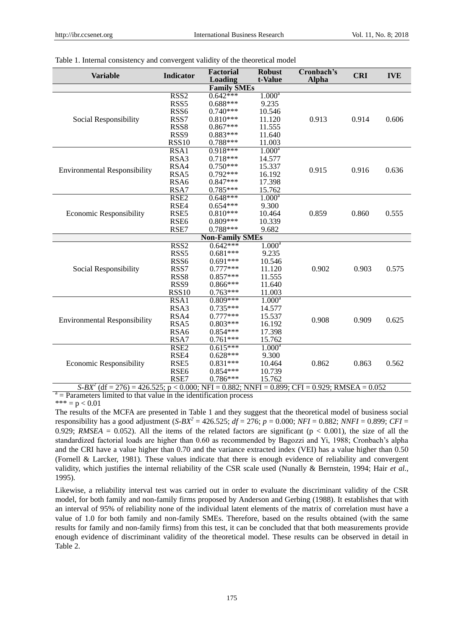| <b>Variable</b>                     | <b>Indicator</b> | <b>Factorial</b><br>Loading | <b>Robust</b><br>t-Value | Cronbach's<br>Alpha | <b>CRI</b> | <b>IVE</b> |
|-------------------------------------|------------------|-----------------------------|--------------------------|---------------------|------------|------------|
|                                     |                  | <b>Family SMEs</b>          |                          |                     |            |            |
|                                     | RSS <sub>2</sub> | $0.642***$                  | $1.000^a$                |                     |            |            |
|                                     | RSS <sub>5</sub> | $0.688***$                  | 9.235                    |                     |            |            |
|                                     | RSS <sub>6</sub> | $0.740***$                  | 10.546                   |                     |            |            |
| Social Responsibility               | RSS7             | $0.810***$                  | 11.120                   | 0.913               | 0.914      | 0.606      |
|                                     | RSS <sub>8</sub> | $0.867***$                  | 11.555                   |                     |            |            |
|                                     | RSS9             | $0.883***$                  | 11.640                   |                     |            |            |
|                                     | <b>RSS10</b>     | $0.788***$                  | 11.003                   |                     |            |            |
|                                     | RSA1             | $0.918***$                  | $1.000^a$                |                     |            |            |
|                                     | RSA3             | $0.718***$                  | 14.577                   |                     |            |            |
| <b>Environmental Responsibility</b> | RSA4             | $0.750***$                  | 15.337                   | 0.915               | 0.916      | 0.636      |
|                                     | RSA5             | $0.792***$                  | 16.192                   |                     |            |            |
|                                     | RSA6             | $0.847***$                  | 17.398                   |                     |            |            |
|                                     | RSA7             | $0.785***$                  | 15.762                   |                     |            |            |
|                                     | RSE <sub>2</sub> | $0.648***$                  | 1.000 <sup>a</sup>       |                     |            |            |
|                                     | RSE4             | $0.654***$                  | 9.300                    |                     |            |            |
| <b>Economic Responsibility</b>      | RSE5             | $0.810***$                  | 10.464                   | 0.859               | 0.860      | 0.555      |
|                                     | RSE <sub>6</sub> | $0.809***$                  | 10.339                   |                     |            |            |
|                                     | RSE7             | $0.788***$                  | 9.682                    |                     |            |            |
|                                     |                  | <b>Non-Family SMEs</b>      |                          |                     |            |            |
|                                     | RSS <sub>2</sub> | $0.642***$                  | $1.000^a$                |                     |            |            |
|                                     | RSS <sub>5</sub> | $0.681***$                  | 9.235                    |                     |            |            |
| Social Responsibility               | RSS6             | $0.691***$                  | 10.546                   |                     | 0.903      | 0.575      |
|                                     | RSS7             | $0.777***$                  | 11.120                   | 0.902               |            |            |
|                                     | RSS8             | $0.857***$                  | 11.555                   |                     |            |            |
|                                     | RSS <sub>9</sub> | $0.866***$                  | 11.640                   |                     |            |            |
|                                     | <b>RSS10</b>     | $0.763***$                  | 11.003                   |                     |            |            |
| <b>Environmental Responsibility</b> | RSA1             | $0.809***$                  | 1.000 <sup>a</sup>       |                     |            |            |
|                                     | RSA3             | $0.735***$                  | 14.577                   | 0.908               | 0.909      | 0.625      |
|                                     | RSA4             | $0.777***$                  | 15.537                   |                     |            |            |
|                                     | RSA5             | $0.803***$                  | 16.192                   |                     |            |            |
|                                     | RSA6             | $0.854***$                  | 17.398                   |                     |            |            |
|                                     | RSA7             | $0.761***$                  | 15.762                   |                     |            |            |
| <b>Economic Responsibility</b>      | RSE <sub>2</sub> | $0.615***$                  | $1.000^a$                |                     |            |            |
|                                     | RSE4             | $0.628***$                  | 9.300                    |                     |            |            |
|                                     | RSE5             | $0.831***$                  | 10.464                   | 0.862<br>0.863      |            | 0.562      |
|                                     | RSE <sub>6</sub> | $0.854***$                  | 10.739                   |                     |            |            |
|                                     | RSE7             | $0.786***$                  | 15.762                   |                     |            |            |

#### Table 1. Internal consistency and convergent validity of the theoretical model

*S-BX<sup>2</sup>* (df = 276) = 426.525; p < 0.000; NFI = 0.882; NNFI = 0.899; CFI = 0.929; RMSEA = 0.052

 $a<sup>a</sup>$  = Parameters limited to that value in the identification process

 $*** = p < 0.01$ 

The results of the MCFA are presented in Table 1 and they suggest that the theoretical model of business social responsibility has a good adjustment  $(S-BX^2 = 426.525; df = 276; p = 0.000; NFI = 0.882; NNFI = 0.899; CFI =$ 0.929; *RMSEA* = 0.052). All the items of the related factors are significant ( $p < 0.001$ ), the size of all the standardized factorial loads are higher than 0.60 as recommended by Bagozzi and Yi, 1988; Cronbach's alpha and the CRI have a value higher than 0.70 and the variance extracted index (VEI) has a value higher than 0.50 (Fornell & Larcker, 1981). These values indicate that there is enough evidence of reliability and convergent validity, which justifies the internal reliability of the CSR scale used (Nunally & Bernstein, 1994; Hair *et al.*, 1995).

Likewise, a reliability interval test was carried out in order to evaluate the discriminant validity of the CSR model, for both family and non-family firms proposed by Anderson and Gerbing (1988). It establishes that with an interval of 95% of reliability none of the individual latent elements of the matrix of correlation must have a value of 1.0 for both family and non-family SMEs. Therefore, based on the results obtained (with the same results for family and non-family firms) from this test, it can be concluded that that both measurements provide enough evidence of discriminant validity of the theoretical model. These results can be observed in detail in Table 2.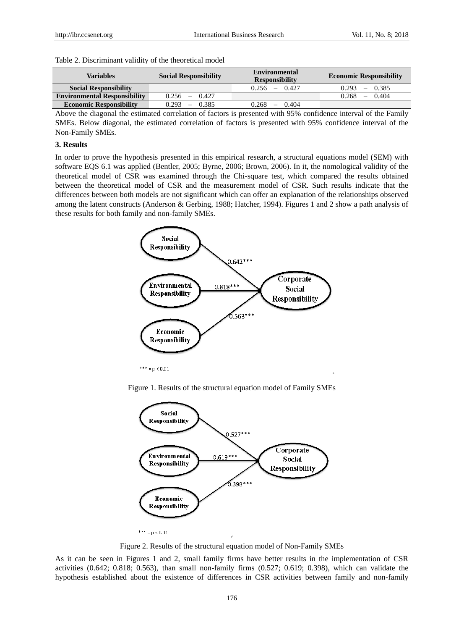Table 2. Discriminant validity of the theoretical model

| Variables                           | <b>Social Responsibility</b>               | <b>Environmental</b><br><b>Responsibility</b> | <b>Economic Responsibility</b>                    |  |
|-------------------------------------|--------------------------------------------|-----------------------------------------------|---------------------------------------------------|--|
| <b>Social Responsibility</b>        |                                            | 0.427<br>0.256<br>$\overline{\phantom{0}}$    | 0.293<br>0.385<br>$\hspace{0.1mm}-\hspace{0.1mm}$ |  |
| <b>Environmental Responsibility</b> | $0.256 - 0.427$                            |                                               | 0.268<br>0.404<br>$\overline{\phantom{0}}$        |  |
| <b>Economic Responsibility</b>      | 0.293<br>0.385<br>$\overline{\phantom{a}}$ | 0.268<br>0.404                                |                                                   |  |

Above the diagonal the estimated correlation of factors is presented with 95% confidence interval of the Family SMEs. Below diagonal, the estimated correlation of factors is presented with 95% confidence interval of the Non-Family SMEs.

#### **3. Results**

In order to prove the hypothesis presented in this empirical research, a structural equations model (SEM) with software EQS 6.1 was applied (Bentler, 2005; Byrne, 2006; Brown, 2006). In it, the nomological validity of the theoretical model of CSR was examined through the Chi-square test, which compared the results obtained between the theoretical model of CSR and the measurement model of CSR. Such results indicate that the differences between both models are not significant which can offer an explanation of the relationships observed among the latent constructs (Anderson & Gerbing, 1988; Hatcher, 1994). Figures 1 and 2 show a path analysis of these results for both family and non-family SMEs.



Figure 1. Results of the structural equation model of Family SMEs



Figure 2. Results of the structural equation model of Non-Family SMEs

As it can be seen in Figures 1 and 2, small family firms have better results in the implementation of CSR activities (0.642; 0.818; 0.563), than small non-family firms (0.527; 0.619; 0.398), which can validate the hypothesis established about the existence of differences in CSR activities between family and non-family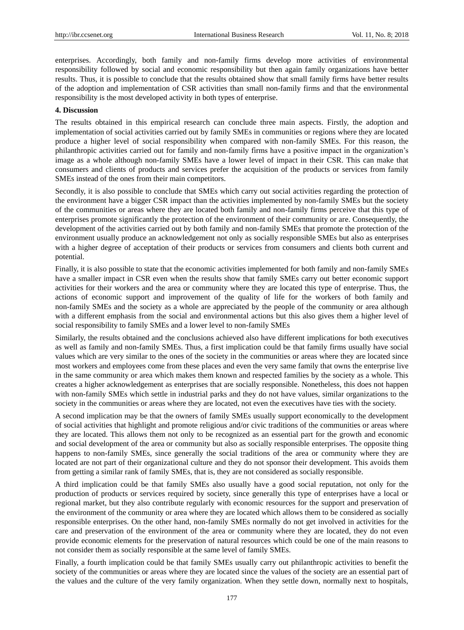enterprises. Accordingly, both family and non-family firms develop more activities of environmental responsibility followed by social and economic responsibility but then again family organizations have better results. Thus, it is possible to conclude that the results obtained show that small family firms have better results of the adoption and implementation of CSR activities than small non-family firms and that the environmental responsibility is the most developed activity in both types of enterprise.

#### **4. Discussion**

The results obtained in this empirical research can conclude three main aspects. Firstly, the adoption and implementation of social activities carried out by family SMEs in communities or regions where they are located produce a higher level of social responsibility when compared with non-family SMEs. For this reason, the philanthropic activities carried out for family and non-family firms have a positive impact in the organization's image as a whole although non-family SMEs have a lower level of impact in their CSR. This can make that consumers and clients of products and services prefer the acquisition of the products or services from family SMEs instead of the ones from their main competitors.

Secondly, it is also possible to conclude that SMEs which carry out social activities regarding the protection of the environment have a bigger CSR impact than the activities implemented by non-family SMEs but the society of the communities or areas where they are located both family and non-family firms perceive that this type of enterprises promote significantly the protection of the environment of their community or are. Consequently, the development of the activities carried out by both family and non-family SMEs that promote the protection of the environment usually produce an acknowledgement not only as socially responsible SMEs but also as enterprises with a higher degree of acceptation of their products or services from consumers and clients both current and potential.

Finally, it is also possible to state that the economic activities implemented for both family and non-family SMEs have a smaller impact in CSR even when the results show that family SMEs carry out better economic support activities for their workers and the area or community where they are located this type of enterprise. Thus, the actions of economic support and improvement of the quality of life for the workers of both family and non-family SMEs and the society as a whole are appreciated by the people of the community or area although with a different emphasis from the social and environmental actions but this also gives them a higher level of social responsibility to family SMEs and a lower level to non-family SMEs

Similarly, the results obtained and the conclusions achieved also have different implications for both executives as well as family and non-family SMEs. Thus, a first implication could be that family firms usually have social values which are very similar to the ones of the society in the communities or areas where they are located since most workers and employees come from these places and even the very same family that owns the enterprise live in the same community or area which makes them known and respected families by the society as a whole. This creates a higher acknowledgement as enterprises that are socially responsible. Nonetheless, this does not happen with non-family SMEs which settle in industrial parks and they do not have values, similar organizations to the society in the communities or areas where they are located, not even the executives have ties with the society.

A second implication may be that the owners of family SMEs usually support economically to the development of social activities that highlight and promote religious and/or civic traditions of the communities or areas where they are located. This allows them not only to be recognized as an essential part for the growth and economic and social development of the area or community but also as socially responsible enterprises. The opposite thing happens to non-family SMEs, since generally the social traditions of the area or community where they are located are not part of their organizational culture and they do not sponsor their development. This avoids them from getting a similar rank of family SMEs, that is, they are not considered as socially responsible.

A third implication could be that family SMEs also usually have a good social reputation, not only for the production of products or services required by society, since generally this type of enterprises have a local or regional market, but they also contribute regularly with economic resources for the support and preservation of the environment of the community or area where they are located which allows them to be considered as socially responsible enterprises. On the other hand, non-family SMEs normally do not get involved in activities for the care and preservation of the environment of the area or community where they are located, they do not even provide economic elements for the preservation of natural resources which could be one of the main reasons to not consider them as socially responsible at the same level of family SMEs.

Finally, a fourth implication could be that family SMEs usually carry out philanthropic activities to benefit the society of the communities or areas where they are located since the values of the society are an essential part of the values and the culture of the very family organization. When they settle down, normally next to hospitals,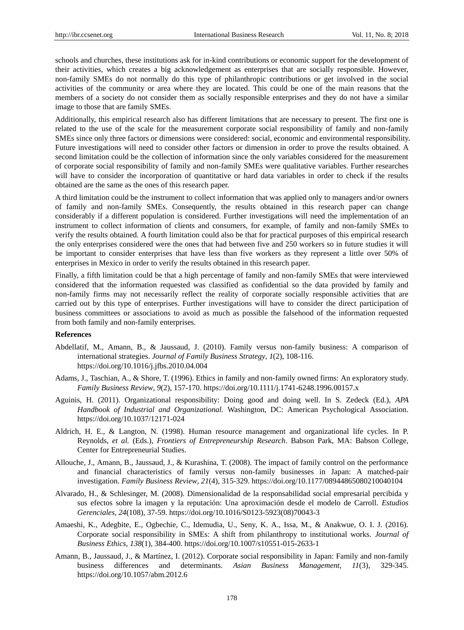schools and churches, these institutions ask for in-kind contributions or economic support for the development of their activities, which creates a big acknowledgement as enterprises that are socially responsible. However, non-family SMEs do not normally do this type of philanthropic contributions or get involved in the social activities of the community or area where they are located. This could be one of the main reasons that the members of a society do not consider them as socially responsible enterprises and they do not have a similar image to those that are family SMEs.

Additionally, this empirical research also has different limitations that are necessary to present. The first one is related to the use of the scale for the measurement corporate social responsibility of family and non-family SMEs since only three factors or dimensions were considered: social, economic and environmental responsibility. Future investigations will need to consider other factors or dimension in order to prove the results obtained. A second limitation could be the collection of information since the only variables considered for the measurement of corporate social responsibility of family and non-family SMEs were qualitative variables. Further researches will have to consider the incorporation of quantitative or hard data variables in order to check if the results obtained are the same as the ones of this research paper.

A third limitation could be the instrument to collect information that was applied only to managers and/or owners of family and non-family SMEs. Consequently, the results obtained in this research paper can change considerably if a different population is considered. Further investigations will need the implementation of an instrument to collect information of clients and consumers, for example, of family and non-family SMEs to verify the results obtained. A fourth limitation could also be that for practical purposes of this empirical research the only enterprises considered were the ones that had between five and 250 workers so in future studies it will be important to consider enterprises that have less than five workers as they represent a little over 50% of enterprises in Mexico in order to verify the results obtained in this research paper.

Finally, a fifth limitation could be that a high percentage of family and non-family SMEs that were interviewed considered that the information requested was classified as confidential so the data provided by family and non-family firms may not necessarily reflect the reality of corporate socially responsible activities that are carried out by this type of enterprises. Further investigations will have to consider the direct participation of business committees or associations to avoid as much as possible the falsehood of the information requested from both family and non-family enterprises.

#### **References**

- Abdellatif, M., Amann, B., & Jaussaud, J. (2010). Family versus non-family business: A comparison of international strategies. *Journal of Family Business Strategy*, *1*(2), 108-116. https://doi.org/10.1016/j.jfbs.2010.04.004
- Adams, J., Taschian, A., & Shore, T. (1996). Ethics in family and non-family owned firms: An exploratory study. *Family Business Review*, *9*(2), 157-170. https://doi.org/10.1111/j.1741-6248.1996.00157.x
- Aguinis, H. (2011). Organizational responsibility: Doing good and doing well. In S. Zedeck (Ed.), *APA Handbook of Industrial and Organizational.* Washington, DC: American Psychological Association. https://doi.org/10.1037/12171-024
- Aldrich, H. E., & Langton, N. (1998). Human resource management and organizational life cycles. In P. Reynolds, *et al.* (Eds.), *Frontiers of Entrepreneurship Research*. Babson Park, MA: Babson College, Center for Entrepreneurial Studies.
- Allouche, J., Amann, B., Jaussaud, J., & Kurashina, T. (2008). The impact of family control on the performance and financial characteristics of family versus non-family businesses in Japan: A matched-pair investigation. *Family Business Review*, *21*(4), 315-329. https://doi.org/10.1177/08944865080210040104
- Alvarado, H., & Schlesinger, M. (2008). Dimensionalidad de la responsabilidad social empresarial percibida y sus efectos sobre la imagen y la reputación: Una aproximación desde el modelo de Carroll. *Estudios Gerenciales, 24*(108), 37-59. https://doi.org/10.1016/S0123-5923(08)70043-3
- Amaeshi, K., Adegbite, E., Ogbechie, C., Idemudia, U., Seny, K. A., Issa, M., & Anakwue, O. I. J. (2016). Corporate social responsibility in SMEs: A shift from philanthropy to institutional works. *Journal of Business Ethics*, *138*(1), 384-400. https://doi.org/10.1007/s10551-015-2633-1
- Amann, B., Jaussaud, J., & Mart nez, I. (2012). Corporate social responsibility in Japan: Family and non-family business differences and determinants. *Asian Business Management*, *11*(3), 329-345. https://doi.org/10.1057/abm.2012.6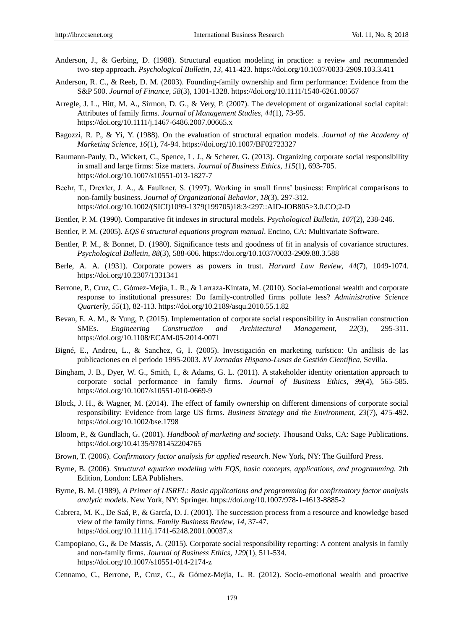- Anderson, J., & Gerbing, D. (1988). Structural equation modeling in practice: a review and recommended two-step approach. *Psychological Bulletin*, *13,* 411-423. https://doi.org/10.1037/0033-2909.103.3.411
- Anderson, R. C., & Reeb, D. M. (2003). Founding-family ownership and firm performance: Evidence from the S&P 500. *Journal of Finance*, *58*(3), 1301-1328. https://doi.org/10.1111/1540-6261.00567
- Arregle, J. L., Hitt, M. A., Sirmon, D. G., & Very, P. (2007). The development of organizational social capital: Attributes of family firms. *Journal of Management Studies*, *44*(1), 73-95. https://doi.org/10.1111/j.1467-6486.2007.00665.x
- Bagozzi, R. P., & Yi, Y. (1988). On the evaluation of structural equation models. *Journal of the Academy of Marketing Science*, *16*(1), 74-94. https://doi.org/10.1007/BF02723327
- Baumann-Pauly, D., Wickert, C., Spence, L. J., & Scherer, G. (2013). Organizing corporate social responsibility in small and large firms: Size matters. *Journal of Business Ethics*, *115*(1), 693-705. https://doi.org/10.1007/s10551-013-1827-7
- Beehr, T., Drexler, J. A., & Faulkner, S. (1997). Working in small firms' business: Empirical comparisons to non-family business. *Journal of Organizational Behavior*, *18*(3), 297-312. https://doi.org/10.1002/(SICI)1099-1379(199705)18:3<297::AID-JOB805>3.0.CO;2-D
- Bentler, P. M. (1990). Comparative fit indexes in structural models. *Psychological Bulletin*, *107*(2), 238-246.
- Bentler, P. M. (2005). *EQS 6 structural equations program manual*. Encino, CA: Multivariate Software.
- Bentler, P. M., & Bonnet, D. (1980). Significance tests and goodness of fit in analysis of covariance structures. *Psychological Bulletin*, *88*(3), 588-606. https://doi.org/10.1037/0033-2909.88.3.588
- Berle, A. A. (1931). Corporate powers as powers in trust. *Harvard Law Review*, *44*(7), 1049-1074. https://doi.org/10.2307/1331341
- Berrone, P., Cruz, C., Gómez-Mejía, L. R., & Larraza-Kintata, M. (2010). Social-emotional wealth and corporate response to institutional pressures: Do family-controlled firms pollute less? *Administrative Science Quarterly*, *55*(1), 82-113. https://doi.org/10.2189/asqu.2010.55.1.82
- Bevan, E. A. M., & Yung, P. (2015). Implementation of corporate social responsibility in Australian construction<br>SMEs. Engineering Construction and Architectural Management, 22(3), 295-311. SMEs. *Engineering Construction and Architectural Management*, *22*(3), 295-311. https://doi.org/10.1108/ECAM-05-2014-0071
- Bigné, E., Andreu, L., & Sanchez, G, I. (2005). Investigación en marketing turístico: Un análisis de las publicaciones en el período 1995-2003. *XV Jornadas Hispano-Lusas de Gestión Científica*, Sevilla.
- Bingham, J. B., Dyer, W. G., Smith, I., & Adams, G. L. (2011). A stakeholder identity orientation approach to corporate social performance in family firms. *Journal of Business Ethics*, *99*(4), 565-585. https://doi.org/10.1007/s10551-010-0669-9
- Block, J. H., & Wagner, M. (2014). The effect of family ownership on different dimensions of corporate social responsibility: Evidence from large US firms. *Business Strategy and the Environment*, *23*(7), 475-492. https://doi.org/10.1002/bse.1798
- Bloom, P., & Gundlach, G. (2001). *Handbook of marketing and society*. Thousand Oaks, CA: Sage Publications. https://doi.org/10.4135/9781452204765
- Brown, T. (2006). *Confirmatory factor analysis for applied research*. New York, NY: The Guilford Press.
- Byrne, B. (2006). *Structural equation modeling with EQS, basic concepts, applications, and programming.* 2th Edition, London: LEA Publishers.
- Byrne, B. M. (1989), *A Primer of LISREL: Basic applications and programming for confirmatory factor analysis analytic models*. New York, NY: Springer. https://doi.org/10.1007/978-1-4613-8885-2
- Cabrera, M. K., De Saá, P., & García, D. J. (2001). The succession process from a resource and knowledge based view of the family firms. *Family Business Review*, *14,* 37-47. https://doi.org/10.1111/j.1741-6248.2001.00037.x
- Campopiano, G., & De Massis, A. (2015). Corporate social responsibility reporting: A content analysis in family and non-family firms. *Journal of Business Ethics*, *129*(1), 511-534. https://doi.org/10.1007/s10551-014-2174-z
- Cennamo, C., Berrone, P., Cruz, C., & Gómez-Mejía, L. R. (2012). Socio-emotional wealth and proactive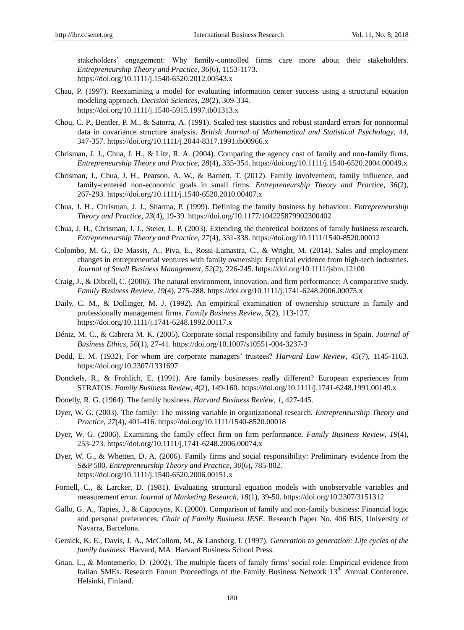stakeholders' engagement: Why family-controlled firms care more about their stakeholders. *Entrepreneurship Theory and Practice*, *36*(6), 1153-1173. https://doi.org/10.1111/j.1540-6520.2012.00543.x

- Chau, P. (1997). Reexamining a model for evaluating information center success using a structural equation modeling approach. *Decision Sciences*, *28*(2), 309-334. https://doi.org/10.1111/j.1540-5915.1997.tb01313.x
- Chou, C. P., Bentler, P. M., & Satorra, A. (1991). Scaled test statistics and robust standard errors for nonnormal data in covariance structure analysis. *British Journal of Mathematical and Statistical Psychology*, *44,*  347-357. https://doi.org/10.1111/j.2044-8317.1991.tb00966.x
- Chrisman, J. J., Chua, J. H., & Litz, R. A. (2004). Comparing the agency cost of family and non-family firms. *Entrepreneurship Theory and Practice*, *28*(4), 335-354. https://doi.org/10.1111/j.1540-6520.2004.00049.x
- Chrisman, J., Chua, J. H., Pearson, A. W., & Barnett, T. (2012). Family involvement, family influence, and family-centered non-economic goals in small firms. *Entrepreneurship Theory and Practice*, *36*(2), 267-293. https://doi.org/10.1111/j.1540-6520.2010.00407.x
- Chua, J. H., Chrisman, J. J., Sharma, P. (1999). Defining the family business by behaviour. *Entrepreneurship Theory and Practice*, *23*(4), 19-39. https://doi.org/10.1177/104225879902300402
- Chua, J. H., Chrisman, J. J., Steier, L. P. (2003). Extending the theoretical horizons of family business research. *Entrepreneurship Theory and Practice*, *27*(4), 331-338. https://doi.org/10.1111/1540-8520.00012
- Colombo, M. G., De Massis, A., Piva, E., Rossi-Lamastra, C., & Wright, M. (2014). Sales and employment changes in entrepreneurial ventures with family ownership: Empirical evidence from high-tech industries. *Journal of Small Business Management*, *52*(2), 226-245. https://doi.org/10.1111/jsbm.12100
- Craig, J., & Dibrell, C. (2006). The natural environment, innovation, and firm performance: A comparative study. *Family Business Review*, *19*(4), 275-288. https://doi.org/10.1111/j.1741-6248.2006.00075.x
- Daily, C. M., & Dollinger, M. J. (1992). An empirical examination of ownership structure in family and professionally management firms. *Family Business Review*, *5*(2), 113-127. https://doi.org/10.1111/j.1741-6248.1992.00117.x
- Déniz, M. C., & Cabrera M. K. (2005). Corporate social responsibility and family business in Spain. *Journal of Business Ethics*, *56*(1), 27-41. https://doi.org/10.1007/s10551-004-3237-3
- Dodd, E. M. (1932). For whom are corporate managers' trustees? *Harvard Law Review*, *45*(7), 1145-1163. https://doi.org/10.2307/1331697
- Donckels, R., & Frohlich, E. (1991). Are family businesses really different? European experiences from STRATOS. *Family Business Review*, *4*(2), 149-160. https://doi.org/10.1111/j.1741-6248.1991.00149.x
- Donelly, R. G. (1964). The family business. *Harvard Business Review*, *1,* 427-445.
- Dyer, W. G. (2003). The family: The missing variable in organizational research. *Entrepreneurship Theory and Practice*, *27*(4), 401-416. https://doi.org/10.1111/1540-8520.00018
- Dyer, W. G. (2006). Examining the family effect firm on firm performance. *Family Business Review*, *19*(4), 253-273. https://doi.org/10.1111/j.1741-6248.2006.00074.x
- Dyer, W. G., & Whetten, D. A. (2006). Family firms and social responsibility: Preliminary evidence from the S&P 500. *Entrepreneurship Theory and Practice*, *30*(6), 785-802. https://doi.org/10.1111/j.1540-6520.2006.00151.x
- Fornell, C., & Larcker, D. (1981). Evaluating structural equation models with unobservable variables and measurement error. *Journal of Marketing Research*, *18*(1), 39-50. https://doi.org/10.2307/3151312
- Gallo, G. A., Tapies, J., & Cappuyns, K. (2000). Comparison of family and non-family business: Financial logic and personal preferences. *Chair of Family Business IESE*. Research Paper No. 406 BIS, University of Navarra, Barcelona.
- Gersick, K. E., Davis, J. A., McCollom, M., & Lansberg, I. (1997). *Generation to generation: Life cycles of the family business*. Harvard, MA: Harvard Business School Press.
- Gnan, L., & Montemerlo, D. (2002). The multiple facets of family firms' social role: Empirical evidence from Italian SMEs. Research Forum Proceedings of the Family Business Network 13<sup>th</sup> Annual Conference. Helsinki, Finland.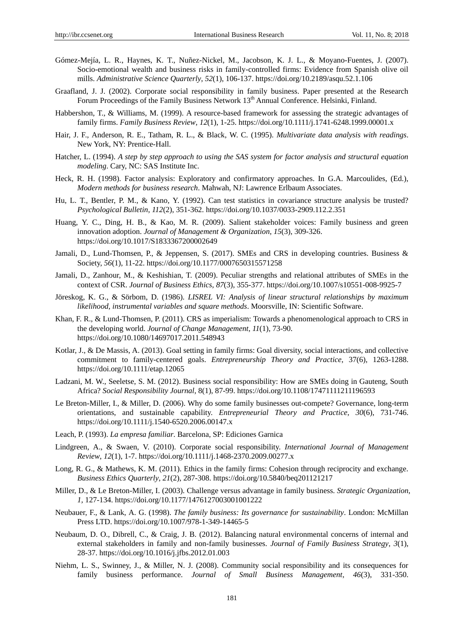- Gómez-Mejía, L. R., Haynes, K. T., Nuñez-Nickel, M., Jacobson, K. J. L., & Moyano-Fuentes, J. (2007). Socio-emotional wealth and business risks in family-controlled firms: Evidence from Spanish olive oil mills. *Administrative Science Quarterly*, *52*(1), 106-137. https://doi.org/10.2189/asqu.52.1.106
- Graafland, J. J. (2002). Corporate social responsibility in family business. Paper presented at the Research Forum Proceedings of the Family Business Network 13<sup>th</sup> Annual Conference. Helsinki, Finland.
- Habbershon, T., & Williams, M. (1999). A resource-based framework for assessing the strategic advantages of family firms. *Family Business Review*, *12*(1), 1-25. https://doi.org/10.1111/j.1741-6248.1999.00001.x
- Hair, J. F., Anderson, R. E., Tatham, R. L., & Black, W. C. (1995). *Multivariate data analysis with readings*. New York, NY: Prentice-Hall.
- Hatcher, L. (1994). *A step by step approach to using the SAS system for factor analysis and structural equation modeling*. Cary, NC: SAS Institute Inc.
- Heck, R. H. (1998). Factor analysis: Exploratory and confirmatory approaches. In G.A. Marcoulides, (Ed.), *Modern methods for business research*. Mahwah, NJ: Lawrence Erlbaum Associates.
- Hu, L. T., Bentler, P. M., & Kano, Y. (1992). Can test statistics in covariance structure analysis be trusted? *Psychological Bulletin*, *112*(2), 351-362. https://doi.org/10.1037/0033-2909.112.2.351
- Huang, Y. C., Ding, H. B., & Kao, M. R. (2009). Salient stakeholder voices: Family business and green innovation adoption. *Journal of Management & Organization*, *15*(3), 309-326. https://doi.org/10.1017/S1833367200002649
- Jamali, D., Lund-Thomsen, P., & Jeppensen, S. (2017). SMEs and CRS in developing countries. Business & Society, *56*(1), 11-22. https://doi.org/10.1177/0007650315571258
- Jamali, D., Zanhour, M., & Keshishian, T. (2009). Peculiar strengths and relational attributes of SMEs in the context of CSR. *Journal of Business Ethics*, *87*(3), 355-377. https://doi.org/10.1007/s10551-008-9925-7
- Jöreskog, K. G., & Sörbom, D. (1986). *LISREL VI: Analysis of linear structural relationships by maximum likelihood, instrumental variables and square methods*. Moorsville, IN: Scientific Software.
- Khan, F. R., & Lund-Thomsen, P. (2011). CRS as imperialism: Towards a phenomenological approach to CRS in the developing world. *Journal of Change Management*, *11*(1), 73-90. https://doi.org/10.1080/14697017.2011.548943
- Kotlar, J., & De Massis, A. (2013). Goal setting in family firms: Goal diversity, social interactions, and collective commitment to family-centered goals. *Entrepreneurship Theory and Practice*, 37(6), 1263-1288. https://doi.org/10.1111/etap.12065
- Ladzani, M. W., Seeletse, S. M. (2012). Business social responsibility: How are SMEs doing in Gauteng, South Africa? *Social Responsibility Journal*, 8(1), 87-99. https://doi.org/10.1108/17471111211196593
- Le Breton-Miller, I., & Miller, D. (2006). Why do some family businesses out-compete? Governance, long-term orientations, and sustainable capability. *Entrepreneurial Theory and Practice*, *30*(6), 731-746. https://doi.org/10.1111/j.1540-6520.2006.00147.x
- Leach, P. (1993). *La empresa familiar*. Barcelona, SP: Ediciones Garnica
- Lindgreen, A., & Swaen, V. (2010). Corporate social responsibility. *International Journal of Management Review*, *12*(1), 1-7. https://doi.org/10.1111/j.1468-2370.2009.00277.x
- Long, R. G., & Mathews, K. M. (2011). Ethics in the family firms: Cohesion through reciprocity and exchange. *Business Ethics Quarterly*, *21*(2), 287-308. https://doi.org/10.5840/beq201121217
- Miller, D., & Le Breton-Miller, I. (2003). Challenge versus advantage in family business. *Strategic Organization*, *1,* 127-134. https://doi.org/10.1177/1476127003001001222
- Neubauer, F., & Lank, A. G. (1998). *The family business: Its governance for sustainability*. London: McMillan Press LTD. https://doi.org/10.1007/978-1-349-14465-5
- Neubaum, D. O., Dibrell, C., & Craig, J. B. (2012). Balancing natural environmental concerns of internal and external stakeholders in family and non-family businesses. *Journal of Family Business Strategy*, *3*(1), 28-37. https://doi.org/10.1016/j.jfbs.2012.01.003
- Niehm, L. S., Swinney, J., & Miller, N. J. (2008). Community social responsibility and its consequences for family business performance. *Journal of Small Business Management*, *46*(3), 331-350.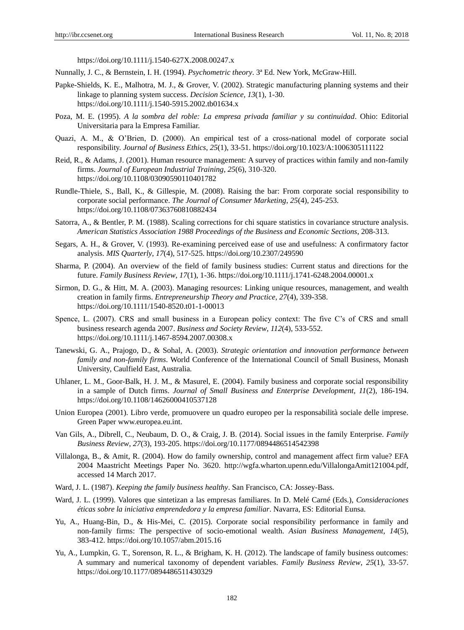https://doi.org/10.1111/j.1540-627X.2008.00247.x

- Nunnally, J. C., & Bernstein, I. H. (1994). *Psychometric theory*. 3ª Ed. New York, McGraw-Hill.
- Papke-Shields, K. E., Malhotra, M. J., & Grover, V. (2002). Strategic manufacturing planning systems and their linkage to planning system success. *Decision Science*, *13*(1), 1-30. https://doi.org/10.1111/j.1540-5915.2002.tb01634.x
- Poza, M. E. (1995). *A la sombra del roble: La empresa privada familiar y su continuidad*. Ohio: Editorial Universitaria para la Empresa Familiar.
- Quazi, A. M., & O'Brien, D. (2000). An empirical test of a cross-national model of corporate social responsibility. *Journal of Business Ethics*, *25*(1), 33-51. https://doi.org/10.1023/A:1006305111122
- Reid, R., & Adams, J. (2001). Human resource management: A survey of practices within family and non-family firms. *Journal of European Industrial Training*, *25*(6), 310-320. https://doi.org/10.1108/03090590110401782
- Rundle-Thiele, S., Ball, K., & Gillespie, M. (2008). Raising the bar: From corporate social responsibility to corporate social performance. *The Journal of Consumer Marketing*, *25*(4), 245-253. https://doi.org/10.1108/07363760810882434
- Satorra, A., & Bentler, P. M. (1988). Scaling corrections for chi square statistics in covariance structure analysis. *American Statistics Association 1988 Proceedings of the Business and Economic Sections*, 208-313.
- Segars, A. H., & Grover, V. (1993). Re-examining perceived ease of use and usefulness: A confirmatory factor analysis. *MIS Quarterly*, *17*(4), 517-525. https://doi.org/10.2307/249590
- Sharma, P. (2004). An overview of the field of family business studies: Current status and directions for the future. *Family Business Review*, *17*(1), 1-36. https://doi.org/10.1111/j.1741-6248.2004.00001.x
- Sirmon, D. G., & Hitt, M. A. (2003). Managing resources: Linking unique resources, management, and wealth creation in family firms. *Entrepreneurship Theory and Practice*, *27*(4), 339-358. https://doi.org/10.1111/1540-8520.t01-1-00013
- Spence, L. (2007). CRS and small business in a European policy context: The five C's of CRS and small business research agenda 2007. *Business and Society Review*, *112*(4), 533-552. https://doi.org/10.1111/j.1467-8594.2007.00308.x
- Tanewski, G. A., Prajogo, D., & Sohal, A. (2003). *Strategic orientation and innovation performance between family and non-family firms*. World Conference of the International Council of Small Business, Monash University, Caulfield East, Australia.
- Uhlaner, L. M., Goor-Balk, H. J. M., & Masurel, E. (2004). Family business and corporate social responsibility in a sample of Dutch firms. *Journal of Small Business and Enterprise Development*, *11*(2), 186-194. https://doi.org/10.1108/14626000410537128
- Union Europea (2001). Libro verde, promuovere un quadro europeo per la responsabilità sociale delle imprese. Green Paper www.europea.eu.int.
- Van Gils, A., Dibrell, C., Neubaum, D. O., & Craig, J. B. (2014). Social issues in the family Enterprise. *Family Business Review*, *27*(3), 193-205. https://doi.org/10.1177/0894486514542398
- Villalonga, B., & Amit, R. (2004). How do family ownership, control and management affect firm value? EFA 2004 Maastricht Meetings Paper No. 3620. http://wgfa.wharton.upenn.edu/VillalongaAmit121004.pdf, accessed 14 March 2017.
- Ward, J. L. (1987). *Keeping the family business healthy*. San Francisco, CA: Jossey-Bass.
- Ward, J. L. (1999). Valores que sintetizan a las empresas familiares. In D. Melé Carné (Eds.), *Consideraciones éticas sobre la iniciativa emprendedora y la empresa familiar*. Navarra, ES: Editorial Eunsa.
- Yu, A., Huang-Bin, D., & His-Mei, C. (2015). Corporate social responsibility performance in family and non-family firms: The perspective of socio-emotional wealth. *Asian Business Management*, *14*(5), 383-412. https://doi.org/10.1057/abm.2015.16
- Yu, A., Lumpkin, G. T., Sorenson, R. L., & Brigham, K. H. (2012). The landscape of family business outcomes: A summary and numerical taxonomy of dependent variables. *Family Business Review*, *25*(1), 33-57. https://doi.org/10.1177/0894486511430329